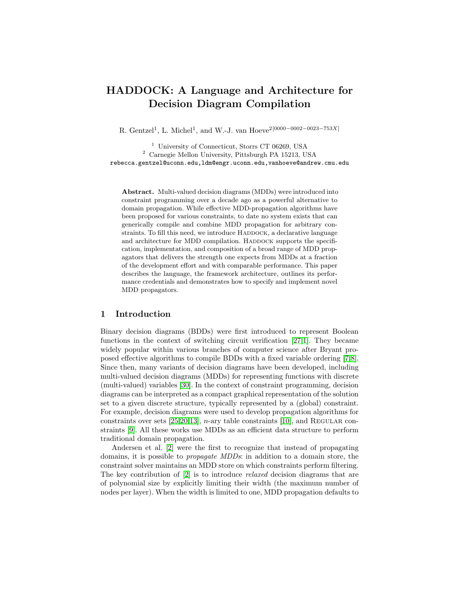# HADDOCK: A Language and Architecture for Decision Diagram Compilation

R. Gentzel<sup>1</sup>, L. Michel<sup>1</sup>, and W.-J. van Hoeve<sup>2[0000–0002–0023–753X]</sup>

<sup>1</sup> University of Connecticut, Storrs CT 06269, USA <sup>2</sup> Carnegie Mellon University, Pittsburgh PA 15213, USA rebecca.gentzel@uconn.edu,ldm@engr.uconn.edu,vanhoeve@andrew.cmu.edu

Abstract. Multi-valued decision diagrams (MDDs) were introduced into constraint programming over a decade ago as a powerful alternative to domain propagation. While effective MDD-propagation algorithms have been proposed for various constraints, to date no system exists that can generically compile and combine MDD propagation for arbitrary constraints. To fill this need, we introduce HADDOCK, a declarative language and architecture for MDD compilation. HADDOCK supports the specification, implementation, and composition of a broad range of MDD propagators that delivers the strength one expects from MDDs at a fraction of the development effort and with comparable performance. This paper describes the language, the framework architecture, outlines its performance credentials and demonstrates how to specify and implement novel MDD propagators.

# 1 Introduction

Binary decision diagrams (BDDs) were first introduced to represent Boolean functions in the context of switching circuit verification [\[27,](#page-16-0)[1\]](#page-15-0). They became widely popular within various branches of computer science after Bryant proposed effective algorithms to compile BDDs with a fixed variable ordering [\[7,](#page-15-1)[8\]](#page-15-2). Since then, many variants of decision diagrams have been developed, including multi-valued decision diagrams (MDDs) for representing functions with discrete (multi-valued) variables [\[30\]](#page-16-1). In the context of constraint programming, decision diagrams can be interpreted as a compact graphical representation of the solution set to a given discrete structure, typically represented by a (global) constraint. For example, decision diagrams were used to develop propagation algorithms for constraints over sets [\[25,](#page-16-2)[20,](#page-15-3)[13\]](#page-15-4),  $n$ -ary table constraints [\[10\]](#page-15-5), and REGULAR constraints [\[9\]](#page-15-6). All these works use MDDs as an efficient data structure to perform traditional domain propagation.

Andersen et al. [\[2\]](#page-15-7) were the first to recognize that instead of propagating domains, it is possible to propagate MDDs: in addition to a domain store, the constraint solver maintains an MDD store on which constraints perform filtering. The key contribution of [\[2\]](#page-15-7) is to introduce relaxed decision diagrams that are of polynomial size by explicitly limiting their width (the maximum number of nodes per layer). When the width is limited to one, MDD propagation defaults to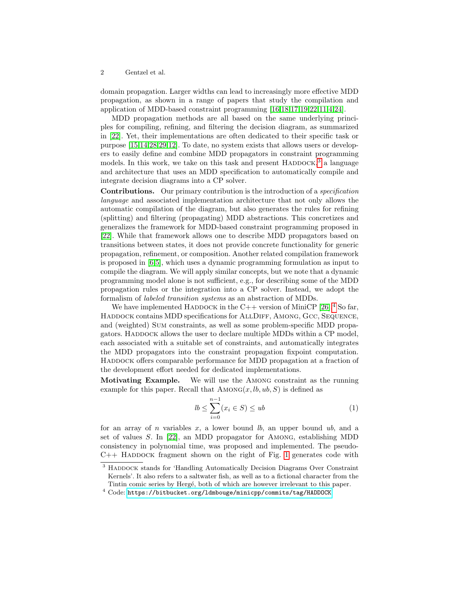domain propagation. Larger widths can lead to increasingly more effective MDD propagation, as shown in a range of papers that study the compilation and application of MDD-based constraint programming [\[16,](#page-15-8)[18,](#page-15-9)[17,](#page-15-10)[19,](#page-15-11)[22,](#page-16-3)[11,](#page-15-12)[4](#page-15-13)[,24\]](#page-16-4).

MDD propagation methods are all based on the same underlying principles for compiling, refining, and filtering the decision diagram, as summarized in [\[22\]](#page-16-3). Yet, their implementations are often dedicated to their specific task or purpose [\[15](#page-15-14)[,14](#page-15-15)[,28,](#page-16-5)[29,](#page-16-6)[12\]](#page-15-16). To date, no system exists that allows users or developers to easily define and combine MDD propagators in constraint programming models. In this work, we take on this task and present  $HADDOCK$ ,  $3$  a language and architecture that uses an MDD specification to automatically compile and integrate decision diagrams into a CP solver.

Contributions. Our primary contribution is the introduction of a specification language and associated implementation architecture that not only allows the automatic compilation of the diagram, but also generates the rules for refining (splitting) and filtering (propagating) MDD abstractions. This concretizes and generalizes the framework for MDD-based constraint programming proposed in [\[22\]](#page-16-3). While that framework allows one to describe MDD propagators based on transitions between states, it does not provide concrete functionality for generic propagation, refinement, or composition. Another related compilation framework is proposed in [\[6](#page-15-17)[,5\]](#page-15-18), which uses a dynamic programming formulation as input to compile the diagram. We will apply similar concepts, but we note that a dynamic programming model alone is not sufficient, e.g., for describing some of the MDD propagation rules or the integration into a CP solver. Instead, we adopt the formalism of labeled transition systems as an abstraction of MDDs.

We have implemented HADDOCK in the C++ version of MiniCP  $[26]$ .<sup>[4](#page-1-1)</sup> So far, HADDOCK contains MDD specifications for ALLDIFF, AMONG, GCC, SEQUENCE, and (weighted) Sum constraints, as well as some problem-specific MDD propagators. HADDOCK allows the user to declare multiple MDDs within a CP model, each associated with a suitable set of constraints, and automatically integrates the MDD propagators into the constraint propagation fixpoint computation. HADDOCK offers comparable performance for MDD propagation at a fraction of the development effort needed for dedicated implementations.

Motivating Example. We will use the Among constraint as the running example for this paper. Recall that  $AMONG(x, lb, ub, S)$  is defined as

$$
lb \le \sum_{i=0}^{n-1} (x_i \in S) \le ub \tag{1}
$$

for an array of n variables x, a lower bound  $lb$ , an upper bound ub, and a set of values S. In [\[22\]](#page-16-3), an MDD propagator for Among, establishing MDD consistency in polynomial time, was proposed and implemented. The pseudo- $C_{++}$  HADDOCK fragment shown on the right of Fig. [1](#page-2-0) generates code with

<span id="page-1-0"></span><sup>&</sup>lt;sup>3</sup> HADDOCK stands for 'Handling Automatically Decision Diagrams Over Constraint Kernels'. It also refers to a saltwater fish, as well as to a fictional character from the Tintin comic series by Hergé, both of which are however irrelevant to this paper.

<span id="page-1-1"></span> $^4$  Code: <https://bitbucket.org/ldmbouge/minicpp/commits/tag/HADDOCK>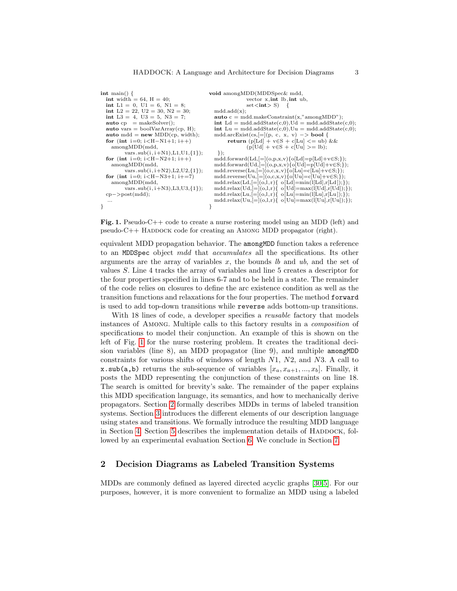| $\text{int } \text{main}() \downarrow$                                                                                                     | void amongMDD(MDDSpec& mdd,                                                                              |
|--------------------------------------------------------------------------------------------------------------------------------------------|----------------------------------------------------------------------------------------------------------|
| <b>int</b> width = 64, $H = 40$ ;                                                                                                          | vector $x, int$ lb, $int$ ub,                                                                            |
| int L1 = 0, U1 = 6, N1 = 8;                                                                                                                | $\text{set} \text{<} \text{int} > S$ ) {                                                                 |
| int L2 = 22, U2 = 30, N2 = 30;                                                                                                             | $\text{mdd}.add(x);$                                                                                     |
| int L3 = 4, U3 = 5, N3 = 7;                                                                                                                | <b>auto</b> $c = \text{mdd}.\text{makeConstraint}(x, \text{"amongMDD"});$                                |
| $auto cp = makeSolver();$                                                                                                                  | $\text{int} \text{Ld} = \text{mdd}. \text{addState}(c,0), \text{Ud} = \text{mdd}. \text{addState}(c,0);$ |
| <b>auto</b> vars = boolVarArray(cp, H);                                                                                                    | $\text{int}$ Lu = mdd.addState(c,0),Uu = mdd.addState(c,0);                                              |
| auto mdd = $new \text{ MDD}(\text{cp}, \text{width})$ ;                                                                                    | mdd.arcExist $(cs,]= (p, c, x, v) \rightarrow \textbf{bool} \{$                                          |
| for (int i=0; $i < H-N1+1$ ; $i++$ )                                                                                                       | return $(p[{\rm Ld}] + v \in S + c[{\rm Lu}] \leq w$ b) & &                                              |
| amongMDD (mdd,                                                                                                                             | $(p[Ud] + v \in S + c[Uu] > = lb);$                                                                      |
| $vars.sub(i, i+N1), L1, U1, {1}$                                                                                                           | $\{\cdot\};$                                                                                             |
| for (int i=0; $i < H-N2+1$ ; i++)                                                                                                          | $\text{mdd.forward}(Ld, [=[(o,p,x,v)\{o[Ld] = p[Ld] + v \in S;\})$                                       |
| amongMDD (mdd,                                                                                                                             | $\text{mdd.forward}(\text{Ud}, =  (o, p, x, v) \{o[\text{Ud}] = p[\text{Ud}] + v \in S;\})$              |
| vars.sub $(i, i+N2), L2, U2, \{1\}$ ;                                                                                                      | $\text{mdd}.\text{reverse}(Lu,]= (o,c,x,v)\{o[Lu]=c[Lu]+v\in S;\});$                                     |
| for (int i=0; i <h-n3+1; i+="7)&lt;/th"><th><math>\text{mdd}.\text{reverse}(Uu,]= (o,c,x,v)\{o[Uu]=c[Uu]+v\in S;\});</math></th></h-n3+1;> | $\text{mdd}.\text{reverse}(Uu,]= (o,c,x,v)\{o[Uu]=c[Uu]+v\in S;\});$                                     |
| amongMDD (mdd,                                                                                                                             | mdd.relax $(Ld, =  (o, l, r) \{ o[Ld] = min(l[Ld], r[Ld]); \})$ ;                                        |
| $vars.sub(i, i+N3), L3, U3, {1}$ ;                                                                                                         | mdd.relax $(Ud, [=[(o, l, r) \{ o [Ud] = max(l[Ud], r[Ud]) \};$                                          |
| $cp - >post(mdd);$                                                                                                                         | mdd.relax $(Lu,]=\{(o,1,r)\}\$ o $[Lu]=min(I[Lu],r[Lu])$ ; $\})$ ;                                       |
|                                                                                                                                            | mdd.relax $(Uu,]= (o,l,r)$ { $o[Uu]=max(l[Uu],r[Uu]);$ });                                               |
|                                                                                                                                            |                                                                                                          |
|                                                                                                                                            |                                                                                                          |

<span id="page-2-0"></span>Fig. 1. Pseudo-C++ code to create a nurse rostering model using an MDD (left) and  $pseudo-C++ HADDOCK code for creating an AMONG MDD propagator (right).$ 

equivalent MDD propagation behavior. The amongMDD function takes a reference to an MDDSpec object mdd that accumulates all the specifications. Its other arguments are the array of variables  $x$ , the bounds  $lb$  and  $ub$ , and the set of values S. Line 4 tracks the array of variables and line 5 creates a descriptor for the four properties specified in lines 6-7 and to be held in a state. The remainder of the code relies on closures to define the arc existence condition as well as the transition functions and relaxations for the four properties. The method forward is used to add top-down transitions while reverse adds bottom-up transitions.

With 18 lines of code, a developer specifies a *reusable* factory that models instances of Among. Multiple calls to this factory results in a composition of specifications to model their conjunction. An example of this is shown on the left of Fig. [1](#page-2-0) for the nurse rostering problem. It creates the traditional decision variables (line 8), an MDD propagator (line 9), and multiple amongMDD constraints for various shifts of windows of length N1, N2, and N3. A call to x.sub(a,b) returns the sub-sequence of variables  $[x_a, x_{a+1}, ..., x_b]$ . Finally, it posts the MDD representing the conjunction of these constraints on line 18. The search is omitted for brevity's sake. The remainder of the paper explains this MDD specification language, its semantics, and how to mechanically derive propagators. Section [2](#page-2-1) formally describes MDDs in terms of labeled transition systems. Section [3](#page-4-0) introduces the different elements of our description language using states and transitions. We formally introduce the resulting MDD language in Section [4.](#page-7-0) Section [5](#page-9-0) describes the implementation details of HADDOCK, followed by an experimental evaluation Section [6.](#page-12-0) We conclude in Section [7.](#page-14-0)

# <span id="page-2-1"></span>2 Decision Diagrams as Labeled Transition Systems

MDDs are commonly defined as layered directed acyclic graphs [\[30,](#page-16-1)[5\]](#page-15-18). For our purposes, however, it is more convenient to formalize an MDD using a labeled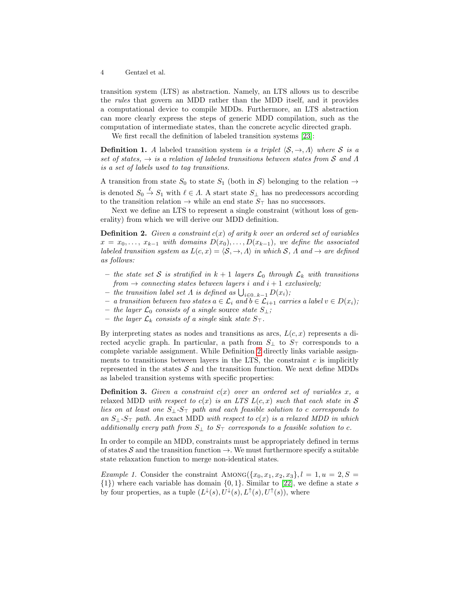transition system (LTS) as abstraction. Namely, an LTS allows us to describe the rules that govern an MDD rather than the MDD itself, and it provides a computational device to compile MDDs. Furthermore, an LTS abstraction can more clearly express the steps of generic MDD compilation, such as the computation of intermediate states, than the concrete acyclic directed graph.

We first recall the definition of labeled transition systems [\[23\]](#page-16-8):

**Definition 1.** A labeled transition system is a triplet  $\langle \mathcal{S}, \rightarrow, \Lambda \rangle$  where S is a set of states,  $\rightarrow$  is a relation of labeled transitions between states from S and  $\Lambda$ is a set of labels used to tag transitions.

A transition from state  $S_0$  to state  $S_1$  (both in S) belonging to the relation  $\rightarrow$ is denoted  $S_0 \stackrel{\ell}{\to} S_1$  with  $\ell \in \Lambda$ . A start state  $S_{\perp}$  has no predecessors according to the transition relation  $\rightarrow$  while an end state  $S_{\top}$  has no successors.

<span id="page-3-0"></span>Next we define an LTS to represent a single constraint (without loss of generality) from which we will derive our MDD definition.

**Definition 2.** Given a constraint  $c(x)$  of arity k over an ordered set of variables  $x = x_0, \ldots, x_{k-1}$  with domains  $D(x_0), \ldots, D(x_{k-1})$ , we define the associated labeled transition system as  $L(c, x) = \langle \mathcal{S}, \to, \Lambda \rangle$  in which S,  $\Lambda$  and  $\to$  are defined as follows:

- the state set S is stratified in  $k + 1$  layers  $\mathcal{L}_0$  through  $\mathcal{L}_k$  with transitions from  $\rightarrow$  connecting states between layers i and  $i+1$  exclusively;
- − the transition label set  $\Lambda$  is defined as  $\bigcup_{i \in 0..k-1} D(x_i);$
- − a transition between two states  $a \in \mathcal{L}_i$  and  $b \in \mathcal{L}_{i+1}$  carries a label  $v \in D(x_i)$ ;
- the layer  $\mathcal{L}_0$  consists of a single source state  $S_\perp$ ;
- the layer  $\mathcal{L}_k$  consists of a single sink state  $S_{\top}$ .

By interpreting states as nodes and transitions as arcs,  $L(c, x)$  represents a directed acyclic graph. In particular, a path from  $S_{\perp}$  to  $S_{\perp}$  corresponds to a complete variable assignment. While Definition [2](#page-3-0) directly links variable assignments to transitions between layers in the LTS, the constraint  $c$  is implicitly represented in the states  $S$  and the transition function. We next define MDDs as labeled transition systems with specific properties:

**Definition 3.** Given a constraint  $c(x)$  over an ordered set of variables x, a relaxed MDD with respect to  $c(x)$  is an LTS  $L(c, x)$  such that each state in S lies on at least one  $S_1$ - $S_{\overline{1}}$  path and each feasible solution to c corresponds to an  $S_{\perp}$ - $S_{\top}$  path. An exact MDD with respect to  $c(x)$  is a relaxed MDD in which additionally every path from  $S_{\perp}$  to  $S_{\perp}$  corresponds to a feasible solution to c.

In order to compile an MDD, constraints must be appropriately defined in terms of states S and the transition function  $\rightarrow$ . We must furthermore specify a suitable state relaxation function to merge non-identical states.

<span id="page-3-1"></span>Example 1. Consider the constraint  $\text{AMONG}(\{x_0, x_1, x_2, x_3\}, l = 1, u = 2, S =$  $\{1\}$ ) where each variable has domain  $\{0, 1\}$ . Similar to [\[22\]](#page-16-3), we define a state s by four properties, as a tuple  $(L^{\downarrow}(s), U^{\downarrow}(s), L^{\uparrow}(s), U^{\uparrow}(s))$ , where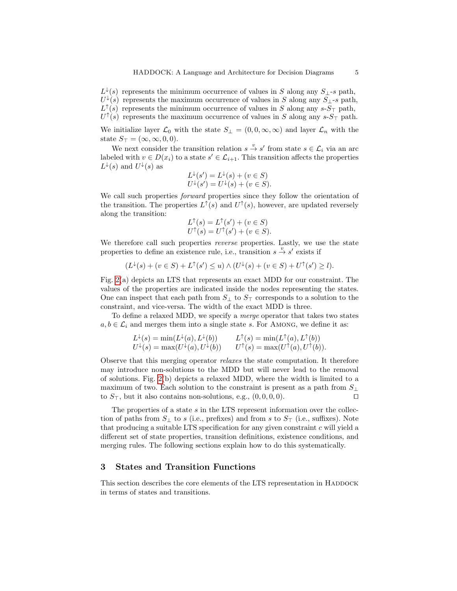$L^{\downarrow}(s)$  represents the minimum occurrence of values in S along any  $S_{\perp}$ -s path,  $U^{\downarrow}(s)$  represents the maximum occurrence of values in S along any  $S_{\perp}$ -s path,  $L^{\uparrow}(s)$  represents the minimum occurrence of values in S along any  $sS_{\perp}$  path,  $U^{\uparrow}(s)$  represents the maximum occurrence of values in S along any  $sS_{\perp}$  path.

We initialize layer  $\mathcal{L}_0$  with the state  $S_\perp = (0, 0, \infty, \infty)$  and layer  $\mathcal{L}_n$  with the state  $S_{\top} = (\infty, \infty, 0, 0).$ 

We next consider the transition relation  $s \stackrel{v}{\to} s'$  from state  $s \in \mathcal{L}_i$  via an arc labeled with  $v \in D(x_i)$  to a state  $s' \in \mathcal{L}_{i+1}$ . This transition affects the properties  $L^{\downarrow}(s)$  and  $U^{\downarrow}(s)$  as

$$
L^{\downarrow}(s') = L^{\downarrow}(s) + (v \in S)
$$
  

$$
U^{\downarrow}(s') = U^{\downarrow}(s) + (v \in S).
$$

We call such properties *forward* properties since they follow the orientation of the transition. The properties  $L^{\uparrow}(s)$  and  $U^{\uparrow}(s)$ , however, are updated reversely along the transition:

$$
L^{\uparrow}(s) = L^{\uparrow}(s') + (v \in S)
$$
  

$$
U^{\uparrow}(s) = U^{\uparrow}(s') + (v \in S).
$$

We therefore call such properties *reverse* properties. Lastly, we use the state properties to define an existence rule, i.e., transition  $s \stackrel{v}{\rightarrow} s'$  exists if

$$
(L^{\downarrow}(s) + (v \in S) + L^{\uparrow}(s') \le u) \wedge (U^{\downarrow}(s) + (v \in S) + U^{\uparrow}(s') \ge l).
$$

Fig. [2\(](#page-5-0)a) depicts an LTS that represents an exact MDD for our constraint. The values of the properties are indicated inside the nodes representing the states. One can inspect that each path from  $S_{\perp}$  to  $S_{\perp}$  corresponds to a solution to the constraint, and vice-versa. The width of the exact MDD is three.

To define a relaxed MDD, we specify a merge operator that takes two states  $a, b \in \mathcal{L}_i$  and merges them into a single state s. For AMONG, we define it as:

$$
L^{\downarrow}(s) = \min(L^{\downarrow}(a), L^{\downarrow}(b)) \qquad L^{\uparrow}(s) = \min(L^{\uparrow}(a), L^{\uparrow}(b))
$$
  

$$
U^{\downarrow}(s) = \max(U^{\downarrow}(a), U^{\downarrow}(b)) \qquad U^{\uparrow}(s) = \max(U^{\uparrow}(a), U^{\uparrow}(b)).
$$

Observe that this merging operator relaxes the state computation. It therefore may introduce non-solutions to the MDD but will never lead to the removal of solutions. Fig. [2\(](#page-5-0)b) depicts a relaxed MDD, where the width is limited to a maximum of two. Each solution to the constraint is present as a path from  $S_{\perp}$ to  $S_{\top}$ , but it also contains non-solutions, e.g.,  $(0, 0, 0, 0)$ .

The properties of a state  $s$  in the LTS represent information over the collection of paths from  $S_{\perp}$  to s (i.e., prefixes) and from s to  $S_{\perp}$  (i.e., suffixes). Note that producing a suitable LTS specification for any given constraint  $c$  will yield a different set of state properties, transition definitions, existence conditions, and merging rules. The following sections explain how to do this systematically.

# <span id="page-4-0"></span>3 States and Transition Functions

This section describes the core elements of the LTS representation in HADDOCK in terms of states and transitions.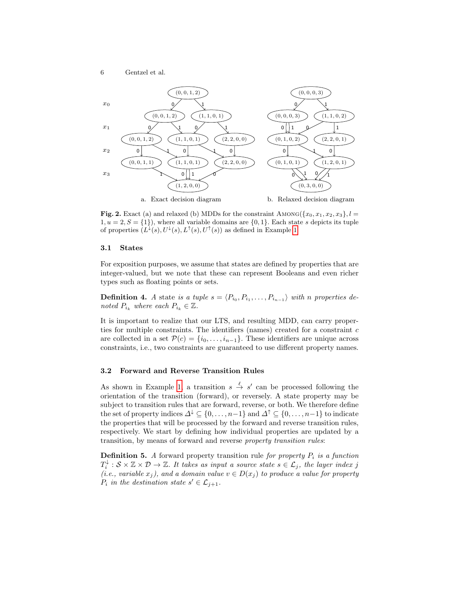

<span id="page-5-0"></span>Fig. 2. Exact (a) and relaxed (b) MDDs for the constraint AMONG  $({x_0, x_1, x_2, x_3}, l =$  $1, u = 2, S = \{1\}$ , where all variable domains are  $\{0, 1\}$ . Each state s depicts its tuple of properties  $(L^{\downarrow}(s), U^{\downarrow}(s), L^{\uparrow}(s), U^{\uparrow}(s))$  as defined in Example [1.](#page-3-1)

#### 3.1 States

For exposition purposes, we assume that states are defined by properties that are integer-valued, but we note that these can represent Booleans and even richer types such as floating points or sets.

**Definition 4.** A state is a tuple  $s = \langle P_{i_0}, P_{i_1}, \ldots, P_{i_{n-1}} \rangle$  with n properties denoted  $P_{i_k}$  where each  $P_{i_k} \in \mathbb{Z}$ .

It is important to realize that our LTS, and resulting MDD, can carry properties for multiple constraints. The identifiers (names) created for a constraint  $c$ are collected in a set  $\mathcal{P}(c) = \{i_0, \ldots, i_{n-1}\}.$  These identifiers are unique across constraints, i.e., two constraints are guaranteed to use different property names.

## 3.2 Forward and Reverse Transition Rules

As shown in Example [1,](#page-3-1) a transition  $s \stackrel{\ell}{\rightarrow} s'$  can be processed following the orientation of the transition (forward), or reversely. A state property may be subject to transition rules that are forward, reverse, or both. We therefore define the set of property indices  $\Delta^{\downarrow} \subseteq \{0, \ldots, n-1\}$  and  $\Delta^{\uparrow} \subseteq \{0, \ldots, n-1\}$  to indicate the properties that will be processed by the forward and reverse transition rules, respectively. We start by defining how individual properties are updated by a transition, by means of forward and reverse property transition rules:

**Definition 5.** A forward property transition rule for property  $P_i$  is a function  $T_i^{\downarrow} : S \times \mathbb{Z} \times \mathcal{D} \to \mathbb{Z}$ . It takes as input a source state  $s \in \mathcal{L}_j$ , the layer index j (i.e., variable  $x_j$ ), and a domain value  $v \in D(x_j)$  to produce a value for property  $P_i$  in the destination state  $s' \in \mathcal{L}_{j+1}$ .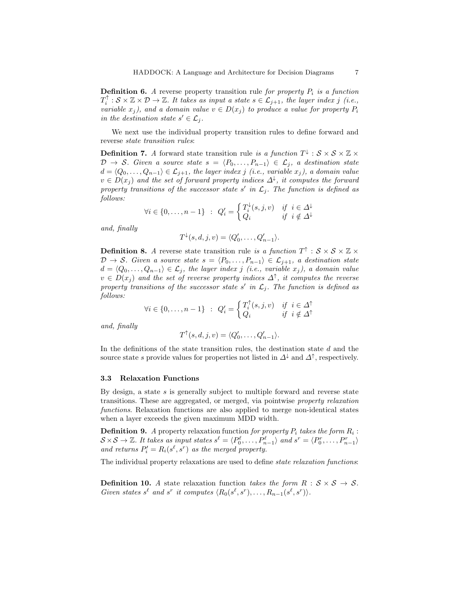**Definition 6.** A reverse property transition rule for property  $P_i$  is a function  $T_i^{\uparrow} : \mathcal{S} \times \mathbb{Z} \times \mathcal{D} \to \mathbb{Z}$ . It takes as input a state  $s \in \mathcal{L}_{j+1}$ , the layer index j (i.e., variable  $x_j$ ), and a domain value  $v \in D(x_j)$  to produce a value for property  $P_i$ in the destination state  $s' \in \mathcal{L}_j$ .

We next use the individual property transition rules to define forward and reverse state transition rules:

**Definition 7.** A forward state transition rule is a function  $T^{\downarrow}$  :  $S \times S \times \mathbb{Z} \times$  $\mathcal{D} \to \mathcal{S}$ . Given a source state  $s = \langle P_0, \ldots, P_{n-1} \rangle \in \mathcal{L}_j$ , a destination state  $d = \langle Q_0, \ldots, Q_{n-1} \rangle \in \mathcal{L}_{j+1}$ , the layer index j (i.e., variable  $x_j$ ), a domain value  $v \in D(x_j)$  and the set of forward property indices  $\Delta^{\downarrow}$ , it computes the forward property transitions of the successor state s' in  $\mathcal{L}_j$ . The function is defined as follows:

$$
\forall i \in \{0,\ldots,n-1\} \hspace*{0.2cm} : \hspace*{0.2cm} Q_i' = \left\{ \begin{aligned} T_i^{\downarrow}(s,j,v) \hspace*{0.2cm} & \text{if} \hspace*{0.2cm} i \in \varDelta^{\downarrow} \\ Q_i & \text{if} \hspace*{0.2cm} i \notin \varDelta^{\downarrow} \end{aligned} \right.
$$

and, finally

$$
T^{\downarrow}(s,d,j,v) = \langle Q'_0, \ldots, Q'_{n-1} \rangle.
$$

**Definition 8.** A reverse state transition rule is a function  $T^{\uparrow}$  :  $S \times S \times \mathbb{Z} \times$  $\mathcal{D} \to \mathcal{S}$ . Given a source state  $s = \langle P_0, \ldots, P_{n-1} \rangle \in \mathcal{L}_{j+1}$ , a destination state  $d = \langle Q_0, \ldots, Q_{n-1} \rangle \in \mathcal{L}_j$ , the layer index j (i.e., variable  $x_j$ ), a domain value  $v \in D(x_j)$  and the set of reverse property indices  $\Delta^{\uparrow}$ , it computes the reverse property transitions of the successor state s' in  $\mathcal{L}_j$ . The function is defined as follows:

$$
\forall i \in \{0, \dots, n-1\} \; : \; Q_i' = \begin{cases} T_i^{\uparrow}(s, j, v) & \text{if} \; i \in \Delta^{\uparrow} \\ Q_i & \text{if} \; i \notin \Delta^{\uparrow} \end{cases}
$$

and, finally

$$
T^{\uparrow}(s, d, j, v) = \langle Q'_0, \dots, Q'_{n-1} \rangle.
$$

In the definitions of the state transition rules, the destination state  $d$  and the source state s provide values for properties not listed in  $\Delta^{\downarrow}$  and  $\Delta^{\uparrow}$ , respectively.

### 3.3 Relaxation Functions

By design, a state  $s$  is generally subject to multiple forward and reverse state transitions. These are aggregated, or merged, via pointwise property relaxation functions. Relaxation functions are also applied to merge non-identical states when a layer exceeds the given maximum MDD width.

**Definition 9.** A property relaxation function for property  $P_i$  takes the form  $R_i$ :  $S \times S \to \mathbb{Z}$ . It takes as input states  $s^{\ell} = \langle P_0^{\ell}, \ldots, P_{n-1}^{\ell} \rangle$  and  $s^r = \langle P_0^r, \ldots, P_{n-1}^r \rangle$ and returns  $P'_i = R_i(s^{\ell}, s^r)$  as the merged property.

The individual property relaxations are used to define *state relaxation functions*:

**Definition 10.** A state relaxation function takes the form  $R : S \times S \rightarrow S$ . Given states  $s^{\ell}$  and  $s^{r}$  it computes  $\langle R_{0}(s^{\ell}, s^{r}), \ldots, R_{n-1}(s^{\ell}, s^{r}) \rangle$ .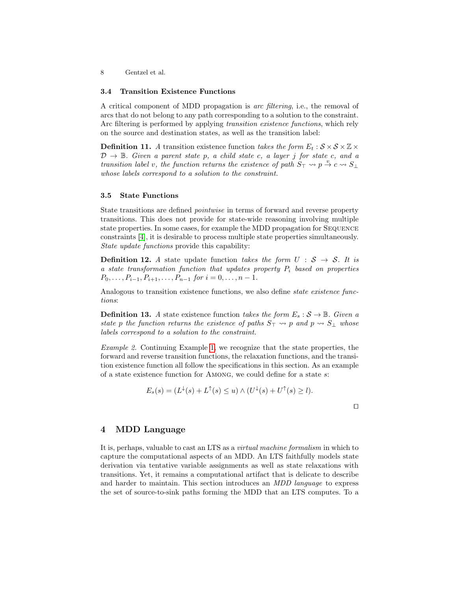## 3.4 Transition Existence Functions

A critical component of MDD propagation is arc filtering, i.e., the removal of arcs that do not belong to any path corresponding to a solution to the constraint. Arc filtering is performed by applying transition existence functions, which rely on the source and destination states, as well as the transition label:

**Definition 11.** A transition existence function takes the form  $E_t : \mathcal{S} \times \mathcal{S} \times \mathbb{Z} \times$  $\mathcal{D} \to \mathbb{B}$ . Given a parent state p, a child state c, a layer j for state c, and a transition label v, the function returns the existence of path  $S_{\perp} \rightarrow p \stackrel{v}{\rightarrow} c \rightarrow S_{\perp}$ whose labels correspond to a solution to the constraint.

## 3.5 State Functions

State transitions are defined pointwise in terms of forward and reverse property transitions. This does not provide for state-wide reasoning involving multiple state properties. In some cases, for example the MDD propagation for Sequence constraints [\[4\]](#page-15-13), it is desirable to process multiple state properties simultaneously. State update functions provide this capability:

**Definition 12.** A state update function takes the form  $U : \mathcal{S} \to \mathcal{S}$ . It is a state transformation function that updates property  $P_i$  based on properties  $P_0, \ldots, P_{i-1}, P_{i+1}, \ldots, P_{n-1}$  for  $i = 0, \ldots, n-1$ .

Analogous to transition existence functions, we also define *state existence func*tions:

**Definition 13.** A state existence function takes the form  $E_s : \mathcal{S} \to \mathbb{B}$ . Given a state p the function returns the existence of paths  $S_{\perp} \rightarrow p$  and  $p \rightarrow S_{\perp}$  whose labels correspond to a solution to the constraint.

Example 2. Continuing Example [1,](#page-3-1) we recognize that the state properties, the forward and reverse transition functions, the relaxation functions, and the transition existence function all follow the specifications in this section. As an example of a state existence function for Among, we could define for a state s:

$$
E_s(s) = (L^{\downarrow}(s) + L^{\uparrow}(s) \le u) \wedge (U^{\downarrow}(s) + U^{\uparrow}(s) \ge l).
$$

 $\Box$ 

# <span id="page-7-0"></span>4 MDD Language

It is, perhaps, valuable to cast an LTS as a virtual machine formalism in which to capture the computational aspects of an MDD. An LTS faithfully models state derivation via tentative variable assignments as well as state relaxations with transitions. Yet, it remains a computational artifact that is delicate to describe and harder to maintain. This section introduces an MDD language to express the set of source-to-sink paths forming the MDD that an LTS computes. To a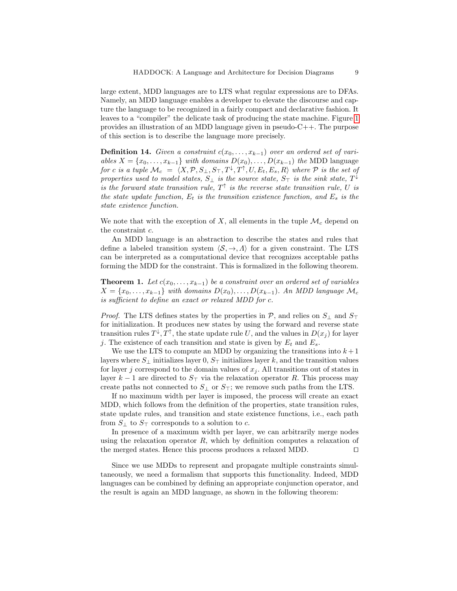large extent, MDD languages are to LTS what regular expressions are to DFAs. Namely, an MDD language enables a developer to elevate the discourse and capture the language to be recognized in a fairly compact and declarative fashion. It leaves to a "compiler" the delicate task of producing the state machine. Figure [1](#page-2-0) provides an illustration of an MDD language given in pseudo-C++. The purpose of this section is to describe the language more precisely.

**Definition 14.** Given a constraint  $c(x_0, \ldots, x_{k-1})$  over an ordered set of variables  $X = \{x_0, \ldots, x_{k-1}\}\$  with domains  $D(x_0), \ldots, D(x_{k-1})\$  the MDD language for c is a tuple  $\mathcal{M}_c = \langle X, \mathcal{P}, S_\perp, S_\top, T^\downarrow, T^\uparrow, U, E_t, E_s, R \rangle$  where  $\mathcal P$  is the set of properties used to model states,  $S_{\perp}$  is the source state,  $S_{\top}$  is the sink state,  $T^{\downarrow}$ is the forward state transition rule,  $T^{\uparrow}$  is the reverse state transition rule, U is the state update function,  $E_t$  is the transition existence function, and  $E_s$  is the state existence function.

We note that with the exception of X, all elements in the tuple  $\mathcal{M}_c$  depend on the constraint c.

An MDD language is an abstraction to describe the states and rules that define a labeled transition system  $\langle S, \rightarrow, \Lambda \rangle$  for a given constraint. The LTS can be interpreted as a computational device that recognizes acceptable paths forming the MDD for the constraint. This is formalized in the following theorem.

<span id="page-8-0"></span>**Theorem 1.** Let  $c(x_0, \ldots, x_{k-1})$  be a constraint over an ordered set of variables  $X = \{x_0, \ldots, x_{k-1}\}\$  with domains  $D(x_0), \ldots, D(x_{k-1})\$ . An MDD language  $\mathcal{M}_c$ is sufficient to define an exact or relaxed MDD for c.

*Proof.* The LTS defines states by the properties in  $P$ , and relies on  $S_{\perp}$  and  $S_{\perp}$ for initialization. It produces new states by using the forward and reverse state transition rules  $T^{\downarrow}, T^{\uparrow}$ , the state update rule U, and the values in  $D(x_j)$  for layer j. The existence of each transition and state is given by  $E_t$  and  $E_s$ .

We use the LTS to compute an MDD by organizing the transitions into  $k+1$ layers where  $S_{\perp}$  initializes layer 0,  $S_{\perp}$  initializes layer k, and the transition values for layer j correspond to the domain values of  $x_j$ . All transitions out of states in layer  $k-1$  are directed to  $S_{\perp}$  via the relaxation operator R. This process may create paths not connected to  $S_{\perp}$  or  $S_{\perp}$ ; we remove such paths from the LTS.

If no maximum width per layer is imposed, the process will create an exact MDD, which follows from the definition of the properties, state transition rules, state update rules, and transition and state existence functions, i.e., each path from  $S_{\perp}$  to  $S_{\perp}$  corresponds to a solution to c.

In presence of a maximum width per layer, we can arbitrarily merge nodes using the relaxation operator  $R$ , which by definition computes a relaxation of the merged states. Hence this process produces a relaxed MDD.  $\Box$ 

Since we use MDDs to represent and propagate multiple constraints simultaneously, we need a formalism that supports this functionality. Indeed, MDD languages can be combined by defining an appropriate conjunction operator, and the result is again an MDD language, as shown in the following theorem: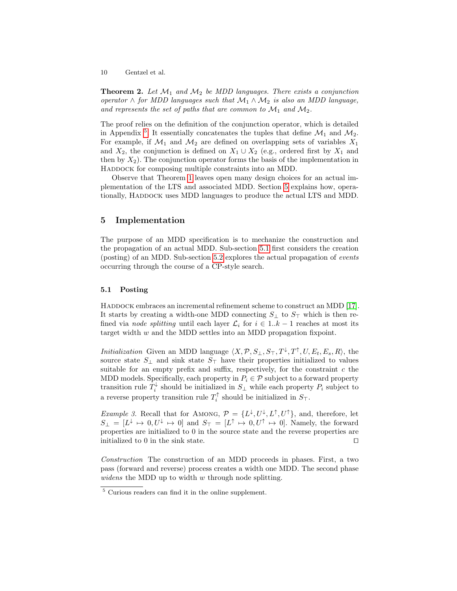**Theorem 2.** Let  $\mathcal{M}_1$  and  $\mathcal{M}_2$  be MDD languages. There exists a conjunction operator ∧ for MDD languages such that  $\mathcal{M}_1 \wedge \mathcal{M}_2$  is also an MDD language, and represents the set of paths that are common to  $\mathcal{M}_1$  and  $\mathcal{M}_2$ .

The proof relies on the definition of the conjunction operator, which is detailed in Appendix<sup>[5](#page-9-1)</sup>. It essentially concatenates the tuples that define  $\mathcal{M}_1$  and  $\mathcal{M}_2$ . For example, if  $\mathcal{M}_1$  and  $\mathcal{M}_2$  are defined on overlapping sets of variables  $X_1$ and  $X_2$ , the conjunction is defined on  $X_1 \cup X_2$  (e.g., ordered first by  $X_1$  and then by  $X_2$ ). The conjunction operator forms the basis of the implementation in HADDOCK for composing multiple constraints into an MDD.

Observe that Theorem [1](#page-8-0) leaves open many design choices for an actual implementation of the LTS and associated MDD. Section [5](#page-9-0) explains how, operationally, HADDOCK uses MDD languages to produce the actual LTS and MDD.

## <span id="page-9-0"></span>5 Implementation

The purpose of an MDD specification is to mechanize the construction and the propagation of an actual MDD. Sub-section [5.1](#page-9-2) first considers the creation (posting) of an MDD. Sub-section [5.2](#page-11-0) explores the actual propagation of events occurring through the course of a CP-style search.

#### <span id="page-9-2"></span>5.1 Posting

HADDOCK embraces an incremental refinement scheme to construct an MDD [\[17\]](#page-15-10). It starts by creating a width-one MDD connecting  $S_{\perp}$  to  $S_{\perp}$  which is then refined via node splitting until each layer  $\mathcal{L}_i$  for  $i \in 1..k-1$  reaches at most its target width  $w$  and the MDD settles into an MDD propagation fixpoint.

*Initialization* Given an MDD language  $\langle X, \mathcal{P}, S_{\perp}, S_{\top}, T^{\downarrow}, T^{\uparrow}, U, E_t, E_s, R \rangle$ , the source state  $S_{\perp}$  and sink state  $S_{\perp}$  have their properties initialized to values suitable for an empty prefix and suffix, respectively, for the constraint  $c$  the MDD models. Specifically, each property in  $P_i \in \mathcal{P}$  subject to a forward property transition rule  $T_i^{\downarrow}$  should be initialized in  $S_{\perp}$  while each property  $P_i$  subject to a reverse property transition rule  $T_i^{\uparrow}$  should be initialized in  $S_{\top}$ .

*Example 3.* Recall that for AMONG,  $\mathcal{P} = \{L^{\downarrow}, U^{\downarrow}, L^{\uparrow}, U^{\uparrow}\},$  and, therefore, let  $S_{\perp} = [L^{\downarrow} \mapsto 0, U^{\downarrow} \mapsto 0]$  and  $S_{\perp} = [L^{\uparrow} \mapsto 0, U^{\uparrow} \mapsto 0]$ . Namely, the forward properties are initialized to 0 in the source state and the reverse properties are initialized to 0 in the sink state.  $\Box$ 

Construction The construction of an MDD proceeds in phases. First, a two pass (forward and reverse) process creates a width one MDD. The second phase widens the MDD up to width w through node splitting.

<span id="page-9-1"></span><sup>5</sup> Curious readers can find it in the online supplement.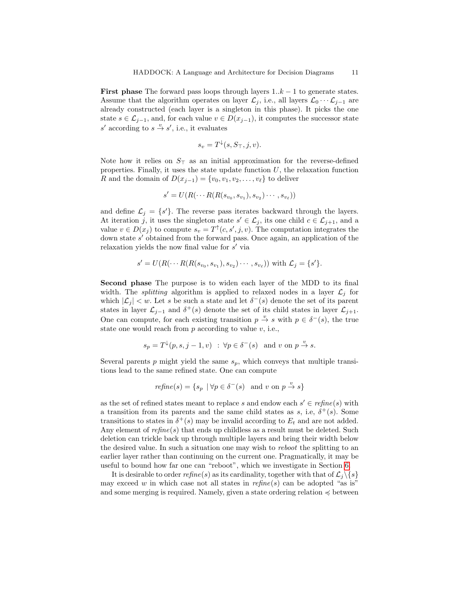**First phase** The forward pass loops through layers  $1..k - 1$  to generate states. Assume that the algorithm operates on layer  $\mathcal{L}_j$ , i.e., all layers  $\mathcal{L}_0 \cdots \mathcal{L}_{j-1}$  are already constructed (each layer is a singleton in this phase). It picks the one state  $s \in \mathcal{L}_{j-1}$ , and, for each value  $v \in D(x_{j-1})$ , it computes the successor state s' according to  $s \stackrel{v}{\rightarrow} s'$ , i.e., it evaluates

$$
s_v = T^{\downarrow}(s, S_{\top}, j, v).
$$

Note how it relies on  $S_{\perp}$  as an initial approximation for the reverse-defined properties. Finally, it uses the state update function  $U$ , the relaxation function R and the domain of  $D(x_{i-1}) = \{v_0, v_1, v_2, \ldots, v_\ell\}$  to deliver

$$
s' = U(R(\cdots R(R(s_{v_0}, s_{v_1}), s_{v_2})\cdots, s_{v_\ell}))
$$

and define  $\mathcal{L}_j = \{s'\}.$  The reverse pass iterates backward through the layers. At iteration j, it uses the singleton state  $s' \in \mathcal{L}_j$ , its one child  $c \in \mathcal{L}_{j+1}$ , and a value  $v \in D(x_j)$  to compute  $s_v = T^{\uparrow}(c, s', j, v)$ . The computation integrates the down state s' obtained from the forward pass. Once again, an application of the relaxation yields the now final value for  $s'$  via

$$
s' = U(R(\cdots R(R(s_{v_0}, s_{v_1}), s_{v_2}) \cdots, s_{v_{\ell}}))
$$
 with  $\mathcal{L}_j = \{s'\}.$ 

Second phase The purpose is to widen each layer of the MDD to its final width. The *splitting* algorithm is applied to relaxed nodes in a layer  $\mathcal{L}_i$  for which  $|\mathcal{L}_j| < w$ . Let s be such a state and let  $\delta^-(s)$  denote the set of its parent states in layer  $\mathcal{L}_{j-1}$  and  $\delta^+(s)$  denote the set of its child states in layer  $\mathcal{L}_{j+1}$ . One can compute, for each existing transition  $p \stackrel{v}{\to} s$  with  $p \in \delta^-(s)$ , the true state one would reach from  $p$  according to value  $v$ , i.e.,

$$
s_p = T^{\downarrow}(p, s, j - 1, v) \; : \; \forall p \in \delta^-(s) \; \text{ and } v \text{ on } p \stackrel{v}{\to} s.
$$

Several parents p might yield the same  $s_p$ , which conveys that multiple transitions lead to the same refined state. One can compute

$$
refine(s) = \{ s_p \mid \forall p \in \delta^-(s) \text{ and } v \text{ on } p \stackrel{v}{\to} s \}
$$

as the set of refined states meant to replace s and endow each  $s' \in refine(s)$  with a transition from its parents and the same child states as s, i.e,  $\delta^+(s)$ . Some transitions to states in  $\delta^+(s)$  may be invalid according to  $E_t$  and are not added. Any element of  $refine(s)$  that ends up childless as a result must be deleted. Such deletion can trickle back up through multiple layers and bring their width below the desired value. In such a situation one may wish to reboot the splitting to an earlier layer rather than continuing on the current one. Pragmatically, it may be useful to bound how far one can "reboot", which we investigate in Section [6.](#page-12-0)

It is desirable to order  $refine(s)$  as its cardinality, together with that of  $\mathcal{L}_i\backslash\{s\}$ may exceed w in which case not all states in  $refine(s)$  can be adopted "as is" and some merging is required. Namely, given a state ordering relation  $\preccurlyeq$  between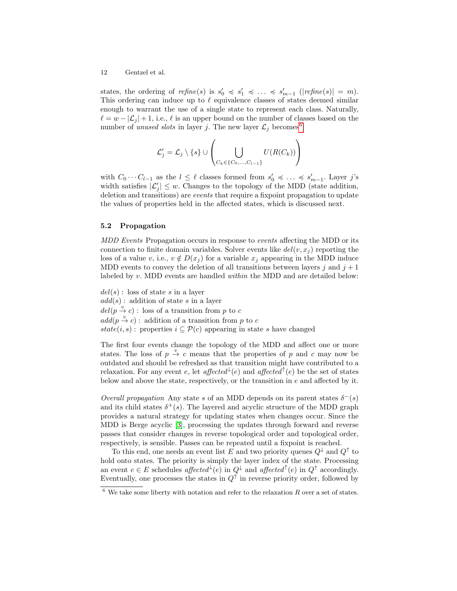states, the ordering of  $refine(s)$  is  $s'_0 \preccurlyeq s'_1 \preccurlyeq \ldots \preccurlyeq s'_{m-1}$  ( $|refine(s)| = m$ ). This ordering can induce up to  $\ell$  equivalence classes of states deemed similar enough to warrant the use of a single state to represent each class. Naturally,  $\ell = w - |\mathcal{L}_j| + 1$ , i.e.,  $\ell$  is an upper bound on the number of classes based on the number of unused slots in layer j. The new layer  $\mathcal{L}_j$  becomes

$$
\mathcal{L}'_j = \mathcal{L}_j \setminus \{s\} \cup \left(\bigcup_{C_k \in \{C_0, ..., C_{l-1}\}} U(R(C_k))\right)
$$

with  $C_0 \cdots C_{l-1}$  as the  $l \leq \ell$  classes formed from  $s'_0 \preccurlyeq \ldots \preccurlyeq s'_{m-1}$ . Layer j's width satisfies  $|\mathcal{L}'_j| \leq w$ . Changes to the topology of the MDD (state addition, deletion and transitions) are events that require a fixpoint propagation to update the values of properties held in the affected states, which is discussed next.

## <span id="page-11-0"></span>5.2 Propagation

MDD Events Propagation occurs in response to *events* affecting the MDD or its connection to finite domain variables. Solver events like  $del(v, x<sub>i</sub>)$  reporting the loss of a value v, i.e.,  $v \notin D(x_j)$  for a variable  $x_j$  appearing in the MDD induce MDD events to convey the deletion of all transitions between layers j and  $j + 1$ labeled by v. MDD events are handled within the MDD and are detailed below:

 $del(s)$ : loss of state s in a layer  $add(s)$ : addition of state s in a layer  $del(p \, \stackrel{\cdot v}{\rightarrow} c)$ : loss of a transition from p to c  $add(p \stackrel{v}{\rightarrow} c)$ : addition of a transition from p to c  $state(i, s)$ : properties  $i \subseteq \mathcal{P}(c)$  appearing in state s have changed

The first four events change the topology of the MDD and affect one or more states. The loss of  $p \stackrel{v}{\rightarrow} c$  means that the properties of p and c may now be outdated and should be refreshed as that transition might have contributed to a relaxation. For any event e, let affected  $\ell(e)$  and affected  $\ell(e)$  be the set of states below and above the state, respectively, or the transition in e and affected by it.

Overall propagation Any state s of an MDD depends on its parent states  $\delta^-(s)$ and its child states  $\delta^+(s)$ . The layered and acyclic structure of the MDD graph provides a natural strategy for updating states when changes occur. Since the MDD is Berge acyclic [\[3\]](#page-15-19), processing the updates through forward and reverse passes that consider changes in reverse topological order and topological order, respectively, is sensible. Passes can be repeated until a fixpoint is reached.

To this end, one needs an event list E and two priority queues  $Q^{\downarrow}$  and  $Q^{\uparrow}$  to hold onto states. The priority is simply the layer index of the state. Processing an event  $e \in E$  schedules affected<sup> $\downarrow$ </sup>(e) in  $Q^{\downarrow}$  and affected<sup> $\uparrow$ </sup>(e) in  $Q^{\uparrow}$  accordingly. Eventually, one processes the states in  $Q^{\uparrow}$  in reverse priority order, followed by

<span id="page-11-1"></span> $^6$  We take some liberty with notation and refer to the relaxation  $R$  over a set of states.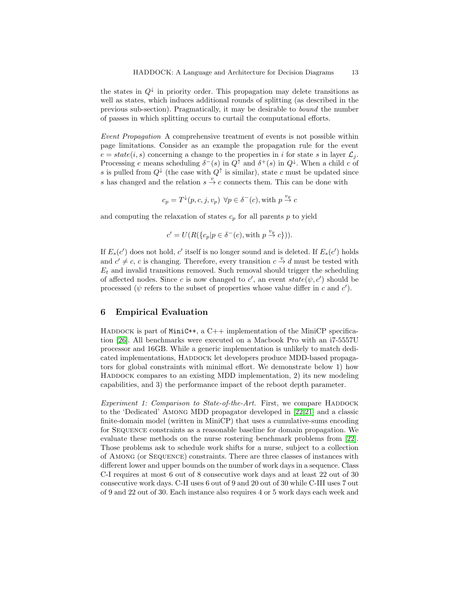the states in  $Q^{\downarrow}$  in priority order. This propagation may delete transitions as well as states, which induces additional rounds of splitting (as described in the previous sub-section). Pragmatically, it may be desirable to bound the number of passes in which splitting occurs to curtail the computational efforts.

Event Propagation A comprehensive treatment of events is not possible within page limitations. Consider as an example the propagation rule for the event  $e = state(i, s)$  concerning a change to the properties in i for state s in layer  $\mathcal{L}_i$ . Processing e means scheduling  $\delta^-(s)$  in  $Q^{\uparrow}$  and  $\delta^+(s)$  in  $Q^{\downarrow}$ . When a child c of s is pulled from  $Q^{\downarrow}$  (the case with  $Q^{\uparrow}$  is similar), state c must be updated since s has changed and the relation  $s \stackrel{v}{\rightarrow} c$  connects them. This can be done with

$$
c_p = T^{\downarrow}(p, c, j, v_p) \ \forall p \in \delta^-(c), \text{with } p \stackrel{v_p}{\to} c
$$

and computing the relaxation of states  $c_p$  for all parents p to yield

$$
c' = U(R(\lbrace c_p | p \in \delta^-(c), \text{with } p \stackrel{v_p}{\to} c \rbrace)).
$$

If  $E_s(c')$  does not hold, c' itself is no longer sound and is deleted. If  $E_s(c')$  holds and  $c' \neq c$ , c is changing. Therefore, every transition  $c \stackrel{v}{\rightarrow} d$  must be tested with  $E_t$  and invalid transitions removed. Such removal should trigger the scheduling of affected nodes. Since c is now changed to c', an event  $state(\psi, c')$  should be processed ( $\psi$  refers to the subset of properties whose value differ in c and  $c'$ ).

# <span id="page-12-0"></span>6 Empirical Evaluation

HADDOCK is part of MiniC++, a C++ implementation of the MiniCP specification [\[26\]](#page-16-7). All benchmarks were executed on a Macbook Pro with an i7-5557U processor and 16GB. While a generic implementation is unlikely to match dedicated implementations, HADDOCK let developers produce MDD-based propagators for global constraints with minimal effort. We demonstrate below 1) how HADDOCK compares to an existing MDD implementation, 2) its new modeling capabilities, and 3) the performance impact of the reboot depth parameter.

Experiment 1: Comparison to State-of-the-Art. First, we compare HADDOCK to the 'Dedicated' Among MDD propagator developed in [\[22,](#page-16-3)[21\]](#page-16-9) and a classic finite-domain model (written in MiniCP) that uses a cumulative-sums encoding for Sequence constraints as a reasonable baseline for domain propagation. We evaluate these methods on the nurse rostering benchmark problems from [\[22\]](#page-16-3). Those problems ask to schedule work shifts for a nurse, subject to a collection of Among (or Sequence) constraints. There are three classes of instances with different lower and upper bounds on the number of work days in a sequence. Class C-I requires at most 6 out of 8 consecutive work days and at least 22 out of 30 consecutive work days. C-II uses 6 out of 9 and 20 out of 30 while C-III uses 7 out of 9 and 22 out of 30. Each instance also requires 4 or 5 work days each week and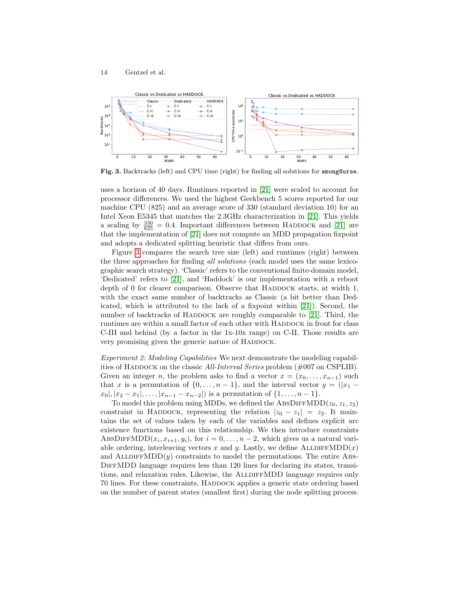

<span id="page-13-0"></span>Fig. 3. Backtracks (left) and CPU time (right) for finding all solutions for amongNurse.

uses a horizon of 40 days. Runtimes reported in [\[21\]](#page-16-9) were scaled to account for processor differences. We used the highest Geekbench 5 scores reported for our machine CPU (825) and an average score of 330 (standard deviation 10) for an Intel Xeon E5345 that matches the 2.3GHz characterization in [\[21\]](#page-16-9). This yields a scaling by  $\frac{330}{825} = 0.4$ . Important differences between HADDOCK and [\[21\]](#page-16-9) are that the implementation of [\[21\]](#page-16-9) does not compute an MDD propagation fixpoint and adopts a dedicated splitting heuristic that differs from ours.

Figure [3](#page-13-0) compares the search tree size (left) and runtimes (right) between the three approaches for finding all solutions (each model uses the same lexicographic search strategy). 'Classic' refers to the conventional finite-domain model, 'Dedicated' refers to [\[21\]](#page-16-9), and 'Haddock' is our implementation with a reboot depth of  $0$  for clearer comparison. Observe that HADDOCK starts, at width 1, with the exact same number of backtracks as Classic (a bit better than Dedicated, which is attributed to the lack of a fixpoint within [\[21\]](#page-16-9)). Second, the number of backtracks of HADDOCK are roughly comparable to  $[21]$ . Third, the runtimes are within a small factor of each other with HADDOCK in front for class C-III and behind (by a factor in the 1x-10x range) on C-II. Those results are very promising given the generic nature of HADDOCK.

Experiment 2: Modeling Capabilities We next demonstrate the modeling capabilities of HADDOCK on the classic All-Interval Series problem  $(\text{\#}007$  on CSPLIB). Given an integer n, the problem asks to find a vector  $x = (x_0, \ldots, x_{n-1})$  such that x is a permutation of  $\{0, \ldots, n-1\}$ , and the interval vector  $y = (|x_1$  $x_0$ ,  $|x_2 - x_1|, \ldots, |x_{n-1} - x_{n-2}|$  is a permutation of  $\{1, \ldots, n-1\}.$ 

To model this problem using MDDs, we defined the ABSDIFFMDD $(z_0, z_1, z_2)$ constraint in HADDOCK, representing the relation  $|z_0 - z_1| = z_2$ . It maintains the set of values taken by each of the variables and defines explicit arc existence functions based on this relationship. We then introduce constraints ABSDIFFMDD $(x_i, x_{i+1}, y_i)$ , for  $i = 0, \ldots, n-2$ , which gives us a natural variable ordering, interleaving vectors x and y. Lastly, we define  $\text{ALIDIFFMDD}(x)$ and ALLDIFFMDD $(y)$  constraints to model the permutations. The entire ABS-DiffMDD language requires less than 120 lines for declaring its states, transitions, and relaxation rules. Likewise, the ALLDIFFMDD language requires only 70 lines. For these constraints, HADDOCK applies a generic state ordering based on the number of parent states (smallest first) during the node splitting process.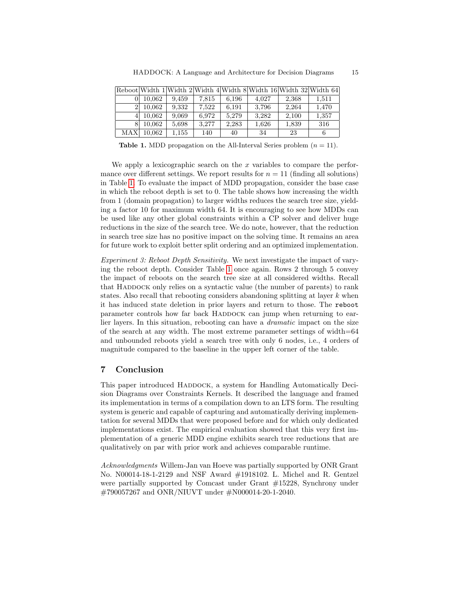|            |        |       |       |       | Reboot Width 1 Width 2 Width 4 Width 8 Width 16 Width 32 Width 64 |       |       |
|------------|--------|-------|-------|-------|-------------------------------------------------------------------|-------|-------|
|            | 10.062 | 9.459 | 7.815 | 6.196 | 4.027                                                             | 2,368 | 1,511 |
| 21         | 10.062 | 9.332 | 7.522 | 6.191 | 3,796                                                             | 2.264 | 1.470 |
|            | 10.062 | 9,069 | 6.972 | 5.279 | 3.282                                                             | 2,100 | 1,357 |
|            | 10.062 | 5,698 | 3.277 | 2,283 | 1,626                                                             | 1,839 | 316   |
| <b>MAX</b> | 10.062 | 1,155 | 140   | 40    | 34                                                                | 23    |       |

<span id="page-14-1"></span>**Table 1.** MDD propagation on the All-Interval Series problem  $(n = 11)$ .

We apply a lexicographic search on the  $x$  variables to compare the performance over different settings. We report results for  $n = 11$  (finding all solutions) in Table [1.](#page-14-1) To evaluate the impact of MDD propagation, consider the base case in which the reboot depth is set to 0. The table shows how increasing the width from 1 (domain propagation) to larger widths reduces the search tree size, yielding a factor 10 for maximum width 64. It is encouraging to see how MDDs can be used like any other global constraints within a CP solver and deliver huge reductions in the size of the search tree. We do note, however, that the reduction in search tree size has no positive impact on the solving time. It remains an area for future work to exploit better split ordering and an optimized implementation.

Experiment 3: Reboot Depth Sensitivity. We next investigate the impact of varying the reboot depth. Consider Table [1](#page-14-1) once again. Rows 2 through 5 convey the impact of reboots on the search tree size at all considered widths. Recall that HADDOCK only relies on a syntactic value (the number of parents) to rank states. Also recall that rebooting considers abandoning splitting at layer  $k$  when it has induced state deletion in prior layers and return to those. The reboot parameter controls how far back HADDOCK can jump when returning to earlier layers. In this situation, rebooting can have a dramatic impact on the size of the search at any width. The most extreme parameter settings of width=64 and unbounded reboots yield a search tree with only 6 nodes, i.e., 4 orders of magnitude compared to the baseline in the upper left corner of the table.

# <span id="page-14-0"></span>7 Conclusion

This paper introduced HADDOCK, a system for Handling Automatically Decision Diagrams over Constraints Kernels. It described the language and framed its implementation in terms of a compilation down to an LTS form. The resulting system is generic and capable of capturing and automatically deriving implementation for several MDDs that were proposed before and for which only dedicated implementations exist. The empirical evaluation showed that this very first implementation of a generic MDD engine exhibits search tree reductions that are qualitatively on par with prior work and achieves comparable runtime.

Acknowledgments Willem-Jan van Hoeve was partially supported by ONR Grant No. N00014-18-1-2129 and NSF Award #1918102. L. Michel and R. Gentzel were partially supported by Comcast under Grant #15228, Synchrony under #790057267 and ONR/NIUVT under #N000014-20-1-2040.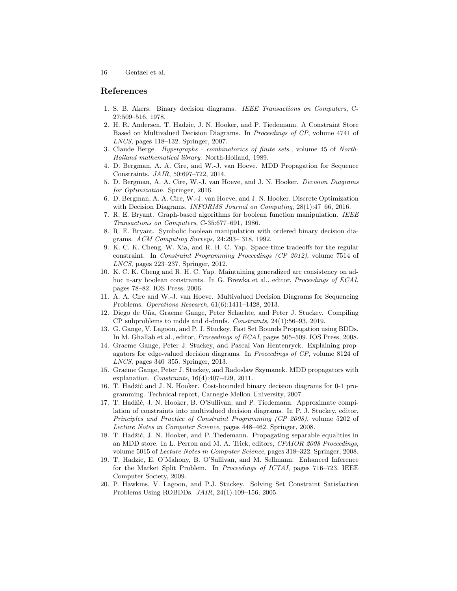## References

- <span id="page-15-0"></span>1. S. B. Akers. Binary decision diagrams. IEEE Transactions on Computers, C-27:509–516, 1978.
- <span id="page-15-7"></span>2. H. R. Andersen, T. Hadzic, J. N. Hooker, and P. Tiedemann. A Constraint Store Based on Multivalued Decision Diagrams. In Proceedings of CP, volume 4741 of LNCS, pages 118–132. Springer, 2007.
- <span id="page-15-19"></span>3. Claude Berge. Hypergraphs - combinatorics of finite sets., volume 45 of North-Holland mathematical library. North-Holland, 1989.
- <span id="page-15-13"></span>4. D. Bergman, A. A. Cire, and W.-J. van Hoeve. MDD Propagation for Sequence Constraints. JAIR, 50:697–722, 2014.
- <span id="page-15-18"></span>5. D. Bergman, A. A. Cire, W.-J. van Hoeve, and J. N. Hooker. Decision Diagrams for Optimization. Springer, 2016.
- <span id="page-15-17"></span>6. D. Bergman, A. A. Cire, W.-J. van Hoeve, and J. N. Hooker. Discrete Optimization with Decision Diagrams. INFORMS Journal on Computing, 28(1):47–66, 2016.
- <span id="page-15-1"></span>7. R. E. Bryant. Graph-based algorithms for boolean function manipulation. IEEE Transactions on Computers, C-35:677–691, 1986.
- <span id="page-15-2"></span>8. R. E. Bryant. Symbolic boolean manipulation with ordered binary decision diagrams. ACM Computing Surveys, 24:293– 318, 1992.
- <span id="page-15-6"></span>9. K. C. K. Cheng, W. Xia, and R. H. C. Yap. Space-time tradeoffs for the regular constraint. In Constraint Programming Proceedings (CP 2012), volume 7514 of LNCS, pages 223–237. Springer, 2012.
- <span id="page-15-5"></span>10. K. C. K. Cheng and R. H. C. Yap. Maintaining generalized arc consistency on adhoc n-ary boolean constraints. In G. Brewka et al., editor, Proceedings of ECAI, pages 78–82. IOS Press, 2006.
- <span id="page-15-12"></span>11. A. A. Cire and W.-J. van Hoeve. Multivalued Decision Diagrams for Sequencing Problems. Operations Research, 61(6):1411–1428, 2013.
- <span id="page-15-16"></span>12. Diego de U˜na, Graeme Gange, Peter Schachte, and Peter J. Stuckey. Compiling CP subproblems to mdds and d-dnnfs. Constraints, 24(1):56–93, 2019.
- <span id="page-15-4"></span>13. G. Gange, V. Lagoon, and P. J. Stuckey. Fast Set Bounds Propagation using BDDs. In M. Ghallab et al., editor, Proceedings of ECAI, pages 505–509. IOS Press, 2008.
- <span id="page-15-15"></span>14. Graeme Gange, Peter J. Stuckey, and Pascal Van Hentenryck. Explaining propagators for edge-valued decision diagrams. In Proceedings of CP, volume 8124 of LNCS, pages 340–355. Springer, 2013.
- <span id="page-15-14"></span>15. Graeme Gange, Peter J. Stuckey, and Radoslaw Szymanek. MDD propagators with explanation. Constraints, 16(4):407–429, 2011.
- <span id="page-15-8"></span>16. T. Hadžić and J. N. Hooker. Cost-bounded binary decision diagrams for 0-1 programming. Technical report, Carnegie Mellon University, 2007.
- <span id="page-15-10"></span>17. T. Hadžić, J. N. Hooker, B. O'Sullivan, and P. Tiedemann. Approximate compilation of constraints into multivalued decision diagrams. In P. J. Stuckey, editor, Principles and Practice of Constraint Programming (CP 2008), volume 5202 of Lecture Notes in Computer Science, pages 448–462. Springer, 2008.
- <span id="page-15-9"></span>18. T. Hadžić, J. N. Hooker, and P. Tiedemann. Propagating separable equalities in an MDD store. In L. Perron and M. A. Trick, editors, CPAIOR 2008 Proceedings, volume 5015 of Lecture Notes in Computer Science, pages 318–322. Springer, 2008.
- <span id="page-15-11"></span>19. T. Hadzic, E. O'Mahony, B. O'Sullivan, and M. Sellmann. Enhanced Inference for the Market Split Problem. In Proceedings of ICTAI, pages 716–723. IEEE Computer Society, 2009.
- <span id="page-15-3"></span>20. P. Hawkins, V. Lagoon, and P.J. Stuckey. Solving Set Constraint Satisfaction Problems Using ROBDDs. JAIR, 24(1):109–156, 2005.